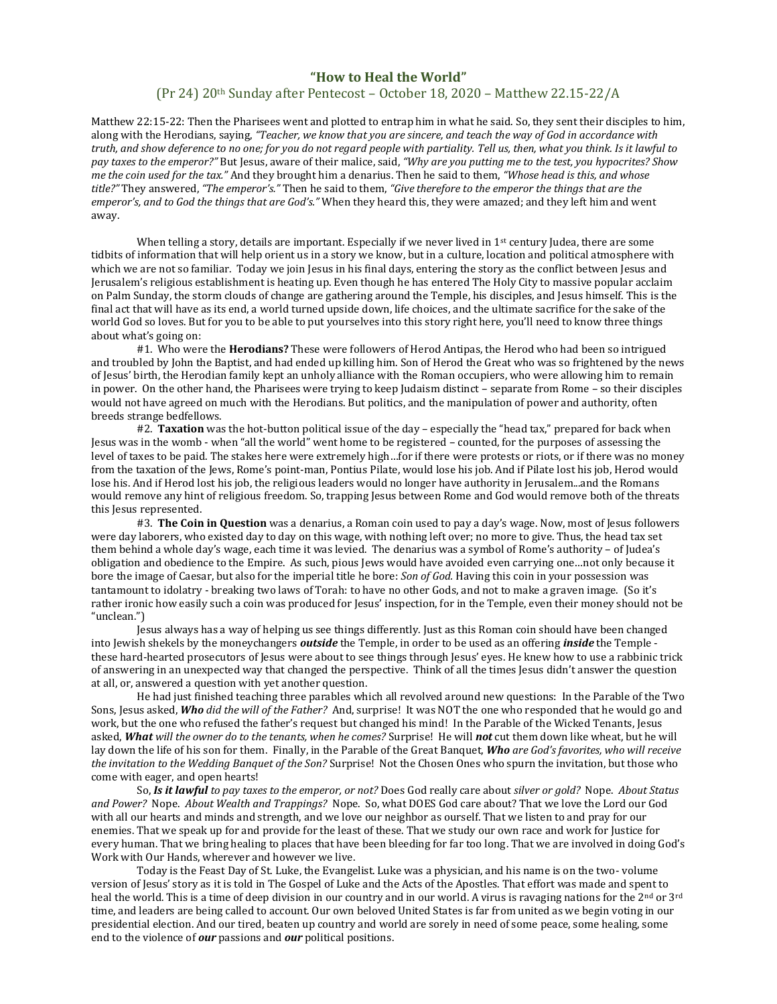## **"How to Heal the World"**

## (Pr 24) 20th Sunday after Pentecost – October 18, 2020 – Matthew 22.15-22/A

Matthew 22:15-22: Then the Pharisees went and plotted to entrap him in what he said. So, they sent their disciples to him, along with the Herodians, saying, *"Teacher, we know that you are sincere, and teach the way of God in accordance with truth, and show deference to no one; for you do not regard people with partiality. Tell us, then, what you think. Is it lawful to pay taxes to the emperor?"* But Jesus, aware of their malice, said, *"Why are you putting me to the test, you hypocrites? Show me the coin used for the tax."* And they brought him a denarius. Then he said to them, *"Whose head is this, and whose title?"* They answered, *"The emperor's."* Then he said to them, *"Give therefore to the emperor the things that are the emperor's, and to God the things that are God's."* When they heard this, they were amazed; and they left him and went away.

When telling a story, details are important. Especially if we never lived in  $1<sup>st</sup>$  century Judea, there are some tidbits of information that will help orient us in a story we know, but in a culture, location and political atmosphere with which we are not so familiar. Today we join Jesus in his final days, entering the story as the conflict between Jesus and Jerusalem's religious establishment is heating up. Even though he has entered The Holy City to massive popular acclaim on Palm Sunday, the storm clouds of change are gathering around the Temple, his disciples, and Jesus himself. This is the final act that will have as its end, a world turned upside down, life choices, and the ultimate sacrifice for the sake of the world God so loves. But for you to be able to put yourselves into this story right here, you'll need to know three things about what's going on:

#1. Who were the **Herodians?** These were followers of Herod Antipas, the Herod who had been so intrigued and troubled by John the Baptist, and had ended up killing him. Son of Herod the Great who was so frightened by the news of Jesus' birth, the Herodian family kept an unholy alliance with the Roman occupiers, who were allowing him to remain in power. On the other hand, the Pharisees were trying to keep Judaism distinct – separate from Rome – so their disciples would not have agreed on much with the Herodians. But politics, and the manipulation of power and authority, often breeds strange bedfellows.

#2. **Taxation** was the hot-button political issue of the day – especially the "head tax," prepared for back when Jesus was in the womb - when "all the world" went home to be registered – counted, for the purposes of assessing the level of taxes to be paid. The stakes here were extremely high…for if there were protests or riots, or if there was no money from the taxation of the Jews, Rome's point-man, Pontius Pilate, would lose his job. And if Pilate lost his job, Herod would lose his. And if Herod lost his job, the religious leaders would no longer have authority in Jerusalem...and the Romans would remove any hint of religious freedom. So, trapping Jesus between Rome and God would remove both of the threats this Jesus represented.

#3. **The Coin in Question** was a denarius, a Roman coin used to pay a day's wage. Now, most of Jesus followers were day laborers, who existed day to day on this wage, with nothing left over; no more to give. Thus, the head tax set them behind a whole day's wage, each time it was levied. The denarius was a symbol of Rome's authority – of Judea's obligation and obedience to the Empire. As such, pious Jews would have avoided even carrying one…not only because it bore the image of Caesar, but also for the imperial title he bore: *Son of God.* Having this coin in your possession was tantamount to idolatry - breaking two laws of Torah: to have no other Gods, and not to make a graven image. (So it's rather ironic how easily such a coin was produced for Jesus' inspection, for in the Temple, even their money should not be "unclean.")

Jesus always has a way of helping us see things differently. Just as this Roman coin should have been changed into Jewish shekels by the moneychangers *outside* the Temple, in order to be used as an offering *inside* the Temple these hard-hearted prosecutors of Jesus were about to see things through Jesus' eyes. He knew how to use a rabbinic trick of answering in an unexpected way that changed the perspective. Think of all the times Jesus didn't answer the question at all, or, answered a question with yet another question.

He had just finished teaching three parables which all revolved around new questions: In the Parable of the Two Sons, Jesus asked, *Who did the will of the Father?* And, surprise! It was NOT the one who responded that he would go and work, but the one who refused the father's request but changed his mind! In the Parable of the Wicked Tenants, Jesus asked, *What will the owner do to the tenants, when he comes?* Surprise! He will *not* cut them down like wheat, but he will lay down the life of his son for them. Finally, in the Parable of the Great Banquet, *Who are God's favorites, who will receive the invitation to the Wedding Banquet of the Son?* Surprise! Not the Chosen Ones who spurn the invitation, but those who come with eager, and open hearts!

So, *Is it lawful to pay taxes to the emperor, or not?* Does God really care about *silver or gold?* Nope. *About Status and Power?* Nope. *About Wealth and Trappings?* Nope. So, what DOES God care about? That we love the Lord our God with all our hearts and minds and strength, and we love our neighbor as ourself. That we listen to and pray for our enemies. That we speak up for and provide for the least of these. That we study our own race and work for Justice for every human. That we bring healing to places that have been bleeding for far too long. That we are involved in doing God's Work with Our Hands, wherever and however we live.

Today is the Feast Day of St. Luke, the Evangelist. Luke was a physician, and his name is on the two- volume version of Jesus' story as it is told in The Gospel of Luke and the Acts of the Apostles. That effort was made and spent to heal the world. This is a time of deep division in our country and in our world. A virus is ravaging nations for the 2<sup>nd</sup> or 3<sup>rd</sup> time, and leaders are being called to account. Our own beloved United States is far from united as we begin voting in our presidential election. And our tired, beaten up country and world are sorely in need of some peace, some healing, some end to the violence of *our* passions and *our* political positions.